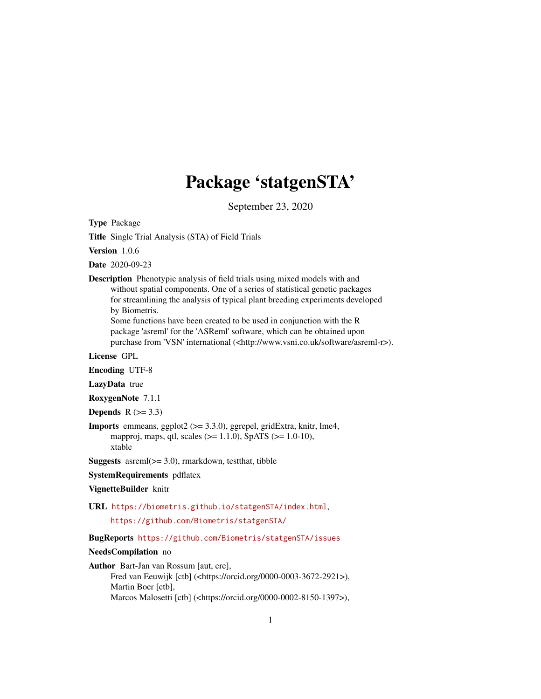# Package 'statgenSTA'

September 23, 2020

<span id="page-0-0"></span>Type Package

Title Single Trial Analysis (STA) of Field Trials

Version 1.0.6

Date 2020-09-23

Description Phenotypic analysis of field trials using mixed models with and without spatial components. One of a series of statistical genetic packages for streamlining the analysis of typical plant breeding experiments developed by Biometris.

Some functions have been created to be used in conjunction with the R package 'asreml' for the 'ASReml' software, which can be obtained upon purchase from 'VSN' international (<http://www.vsni.co.uk/software/asreml-r>).

License GPL

Encoding UTF-8

LazyData true

RoxygenNote 7.1.1

Depends  $R$  ( $>= 3.3$ )

Imports emmeans, ggplot2 (>= 3.3.0), ggrepel, gridExtra, knitr, lme4, mapproj, maps, qtl, scales (>= 1.1.0), SpATS (>= 1.0-10), xtable

**Suggests** asreml $(>= 3.0)$ , rmarkdown, test that, tibble

SystemRequirements pdflatex

#### VignetteBuilder knitr

URL <https://biometris.github.io/statgenSTA/index.html>,

<https://github.com/Biometris/statgenSTA/>

BugReports <https://github.com/Biometris/statgenSTA/issues>

#### NeedsCompilation no

Author Bart-Jan van Rossum [aut, cre],

Fred van Eeuwijk [ctb] (<https://orcid.org/0000-0003-3672-2921>), Martin Boer [ctb], Marcos Malosetti [ctb] (<https://orcid.org/0000-0002-8150-1397>),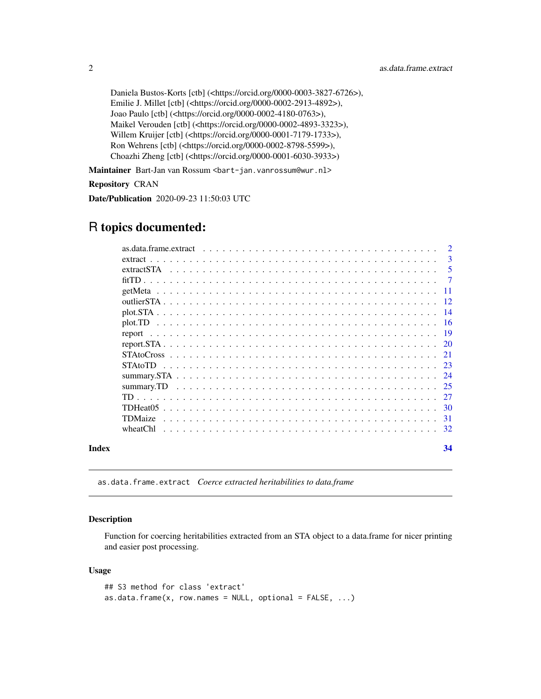```
Daniela Bustos-Korts [ctb] (<https://orcid.org/0000-0003-3827-6726>),
Emilie J. Millet [ctb] (<https://orcid.org/0000-0002-2913-4892>),
Joao Paulo [ctb] (<https://orcid.org/0000-0002-4180-0763>),
Maikel Verouden [ctb] (<https://orcid.org/0000-0002-4893-3323>),
Willem Kruijer [ctb] (<https://orcid.org/0000-0001-7179-1733>),
Ron Wehrens [ctb] (<https://orcid.org/0000-0002-8798-5599>),
Choazhi Zheng [ctb] (<https://orcid.org/0000-0001-6030-3933>)
```
Maintainer Bart-Jan van Rossum <br/> <br/>bart-jan.vanrossum@wur.nl>

Repository CRAN

Date/Publication 2020-09-23 11:50:03 UTC

# R topics documented:

|       | $\mathcal{L}$<br>as.data.frame.extract $\ldots \ldots \ldots \ldots \ldots \ldots \ldots \ldots \ldots \ldots \ldots \ldots \ldots$ |  |
|-------|-------------------------------------------------------------------------------------------------------------------------------------|--|
|       | 3                                                                                                                                   |  |
|       | -5                                                                                                                                  |  |
|       |                                                                                                                                     |  |
|       |                                                                                                                                     |  |
|       |                                                                                                                                     |  |
|       |                                                                                                                                     |  |
|       |                                                                                                                                     |  |
|       |                                                                                                                                     |  |
|       |                                                                                                                                     |  |
|       |                                                                                                                                     |  |
|       |                                                                                                                                     |  |
|       |                                                                                                                                     |  |
|       |                                                                                                                                     |  |
|       |                                                                                                                                     |  |
|       | TDHeat05                                                                                                                            |  |
|       | <b>TDMaize</b>                                                                                                                      |  |
|       |                                                                                                                                     |  |
| Index | 34                                                                                                                                  |  |

as.data.frame.extract *Coerce extracted heritabilities to data.frame*

# Description

Function for coercing heritabilities extracted from an STA object to a data.frame for nicer printing and easier post processing.

#### Usage

```
## S3 method for class 'extract'
as.data.frame(x, row.names = NULL, optional = FALSE, ...)
```
<span id="page-1-0"></span>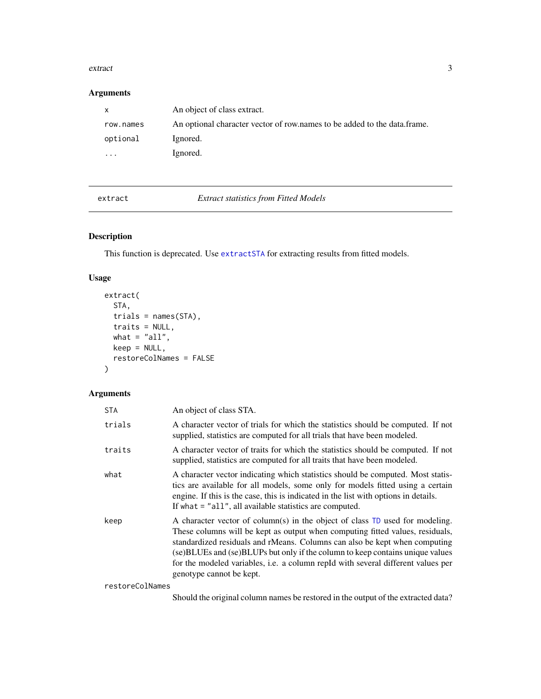#### <span id="page-2-0"></span>extract 3

# Arguments

| $\mathsf{X}$ | An object of class extract.                                              |
|--------------|--------------------------------------------------------------------------|
| row.names    | An optional character vector of row names to be added to the data frame. |
| optional     | Ignored.                                                                 |
| $\cdots$     | Ignored.                                                                 |

extract *Extract statistics from Fitted Models*

# Description

This function is deprecated. Use [extractSTA](#page-4-1) for extracting results from fitted models.

# Usage

```
extract(
 STA,
 trials = names(STA),traits = NULL,
 what = "all",keep = NULL,
  restoreColNames = FALSE
)
```
# Arguments

| STA    | An object of class STA.                                                                                                                                                                                                                                                                                                                                                                                                                        |
|--------|------------------------------------------------------------------------------------------------------------------------------------------------------------------------------------------------------------------------------------------------------------------------------------------------------------------------------------------------------------------------------------------------------------------------------------------------|
| trials | A character vector of trials for which the statistics should be computed. If not<br>supplied, statistics are computed for all trials that have been modeled.                                                                                                                                                                                                                                                                                   |
| traits | A character vector of traits for which the statistics should be computed. If not<br>supplied, statistics are computed for all traits that have been modeled.                                                                                                                                                                                                                                                                                   |
| what   | A character vector indicating which statistics should be computed. Most statis-<br>tics are available for all models, some only for models fitted using a certain<br>engine. If this is the case, this is indicated in the list with options in details.<br>If what $=$ "all", all available statistics are computed.                                                                                                                          |
| keep   | A character vector of column(s) in the object of class TD used for modeling.<br>These columns will be kept as output when computing fitted values, residuals,<br>standardized residuals and rMeans. Columns can also be kept when computing<br>(se) BLUEs and (se) BLUPs but only if the column to keep contains unique values<br>for the modeled variables, i.e. a column repId with several different values per<br>genotype cannot be kept. |
|        |                                                                                                                                                                                                                                                                                                                                                                                                                                                |

restoreColNames

Should the original column names be restored in the output of the extracted data?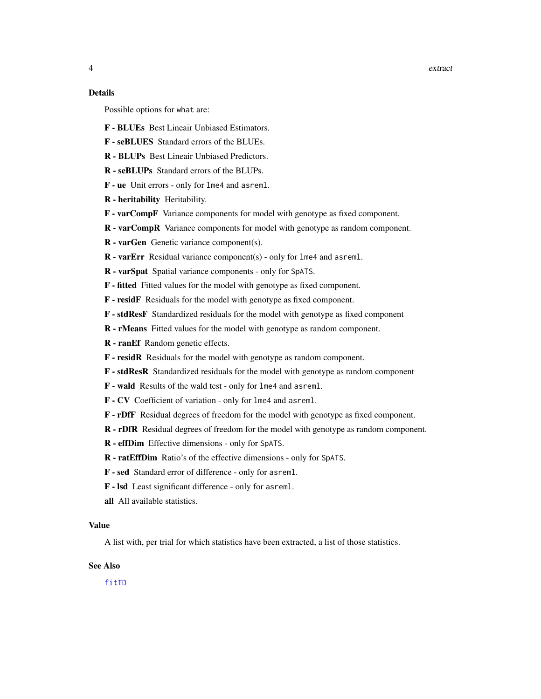#### <span id="page-3-0"></span>Details

Possible options for what are:

- F BLUEs Best Lineair Unbiased Estimators.
- F seBLUES Standard errors of the BLUEs.
- R BLUPs Best Lineair Unbiased Predictors.
- R seBLUPs Standard errors of the BLUPs.
- F ue Unit errors only for lme4 and asreml.
- R heritability Heritability.
- F varCompF Variance components for model with genotype as fixed component.
- R varCompR Variance components for model with genotype as random component.
- R varGen Genetic variance component(s).
- R varErr Residual variance component(s) only for lme4 and asreml.
- R varSpat Spatial variance components only for SpATS.
- F fitted Fitted values for the model with genotype as fixed component.
- F residF Residuals for the model with genotype as fixed component.
- F stdResF Standardized residuals for the model with genotype as fixed component
- R rMeans Fitted values for the model with genotype as random component.
- R ranEf Random genetic effects.
- F residR Residuals for the model with genotype as random component.
- F stdResR Standardized residuals for the model with genotype as random component
- F wald Results of the wald test only for lme4 and asreml.
- F CV Coefficient of variation only for lme4 and asreml.
- F rDfF Residual degrees of freedom for the model with genotype as fixed component.
- R rDfR Residual degrees of freedom for the model with genotype as random component.
- R effDim Effective dimensions only for SpATS.
- R ratEffDim Ratio's of the effective dimensions only for SpATS.
- F sed Standard error of difference only for asreml.
- F lsd Least significant difference only for asreml.
- all All available statistics.

#### Value

A list with, per trial for which statistics have been extracted, a list of those statistics.

#### See Also

[fitTD](#page-6-1)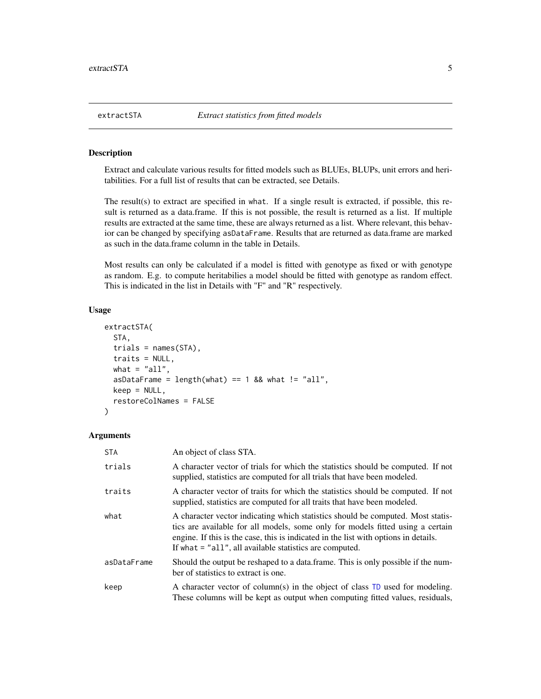#### Description

Extract and calculate various results for fitted models such as BLUEs, BLUPs, unit errors and heritabilities. For a full list of results that can be extracted, see Details.

The result(s) to extract are specified in what. If a single result is extracted, if possible, this result is returned as a data.frame. If this is not possible, the result is returned as a list. If multiple results are extracted at the same time, these are always returned as a list. Where relevant, this behavior can be changed by specifying asDataFrame. Results that are returned as data.frame are marked as such in the data.frame column in the table in Details.

Most results can only be calculated if a model is fitted with genotype as fixed or with genotype as random. E.g. to compute heritabilies a model should be fitted with genotype as random effect. This is indicated in the list in Details with "F" and "R" respectively.

# Usage

```
extractSTA(
  STA,
  trials = names(STA),
  traits = NULL,
  what = "all",asDataFrame = length(what) == 1 && what != "all",
  keep = NULL,
  restoreColNames = FALSE
)
```
#### Arguments

| STA         | An object of class STA.                                                                                                                                                                                                                                                                                               |
|-------------|-----------------------------------------------------------------------------------------------------------------------------------------------------------------------------------------------------------------------------------------------------------------------------------------------------------------------|
| trials      | A character vector of trials for which the statistics should be computed. If not<br>supplied, statistics are computed for all trials that have been modeled.                                                                                                                                                          |
| traits      | A character vector of traits for which the statistics should be computed. If not<br>supplied, statistics are computed for all traits that have been modeled.                                                                                                                                                          |
| what        | A character vector indicating which statistics should be computed. Most statis-<br>tics are available for all models, some only for models fitted using a certain<br>engine. If this is the case, this is indicated in the list with options in details.<br>If what $=$ "all", all available statistics are computed. |
| asDataFrame | Should the output be reshaped to a data frame. This is only possible if the num-<br>ber of statistics to extract is one.                                                                                                                                                                                              |
| keep        | A character vector of column(s) in the object of class TD used for modeling.<br>These columns will be kept as output when computing fitted values, residuals,                                                                                                                                                         |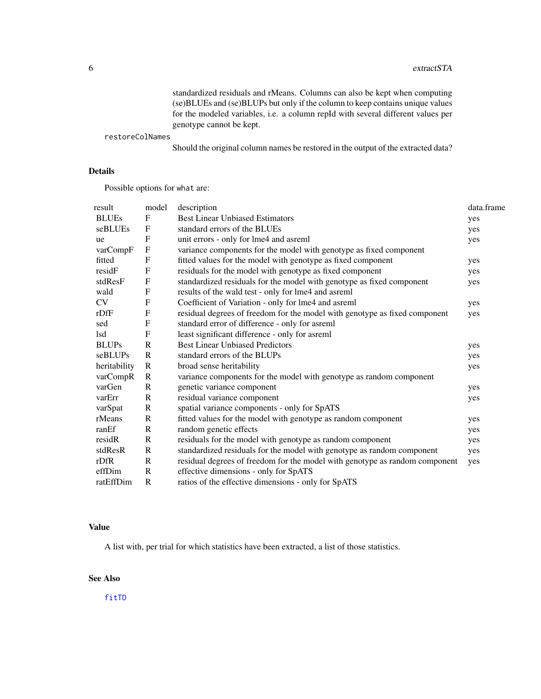#### <span id="page-5-0"></span>6 extractSTA

standardized residuals and rMeans. Columns can also be kept when computing (se)BLUEs and (se)BLUPs but only if the column to keep contains unique values for the modeled variables, i.e. a column repId with several different values per genotype cannot be kept.

restoreColNames

Should the original column names be restored in the output of the extracted data?

# Details

Possible options for what are:

| model                     | description                                                                | data.frame                                                                  |
|---------------------------|----------------------------------------------------------------------------|-----------------------------------------------------------------------------|
| $\mathbf F$               | <b>Best Linear Unbiased Estimators</b>                                     | yes                                                                         |
| F                         | standard errors of the BLUEs                                               | yes                                                                         |
| $\mathbf F$               | unit errors - only for lme4 and asreml                                     | yes                                                                         |
| $\boldsymbol{\mathrm{F}}$ | variance components for the model with genotype as fixed component         |                                                                             |
| $\mathbf F$               | fitted values for the model with genotype as fixed component               | yes                                                                         |
| $\boldsymbol{\mathrm{F}}$ | residuals for the model with genotype as fixed component                   | yes                                                                         |
| $\boldsymbol{\mathrm{F}}$ | standardized residuals for the model with genotype as fixed component      | yes                                                                         |
| $\mathbf F$               | results of the wald test - only for lme4 and asreml                        |                                                                             |
| F                         | Coefficient of Variation - only for lme4 and asreml                        | yes                                                                         |
| $\mathbf F$               | residual degrees of freedom for the model with genotype as fixed component | yes                                                                         |
| ${\bf F}$                 | standard error of difference - only for asreml                             |                                                                             |
| $\boldsymbol{\mathrm{F}}$ | least significant difference - only for asreml                             |                                                                             |
| $\mathbf R$               | <b>Best Linear Unbiased Predictors</b>                                     | yes                                                                         |
| $\mathbf R$               | standard errors of the BLUPs                                               | yes                                                                         |
| R                         | broad sense heritability                                                   | yes                                                                         |
| R                         | variance components for the model with genotype as random component        |                                                                             |
| $\mathbf{R}$              | genetic variance component                                                 | yes                                                                         |
| $\mathbf{R}$              | residual variance component                                                | yes                                                                         |
| $\mathbf{R}$              | spatial variance components - only for SpATS                               |                                                                             |
| $\mathbf R$               | fitted values for the model with genotype as random component              | yes                                                                         |
| R                         | random genetic effects                                                     | yes                                                                         |
| R                         | residuals for the model with genotype as random component                  | yes                                                                         |
| $\mathbf R$               | standardized residuals for the model with genotype as random component     | yes                                                                         |
| R                         |                                                                            | yes                                                                         |
| R                         | effective dimensions - only for SpATS                                      |                                                                             |
| R                         | ratios of the effective dimensions - only for SpATS                        |                                                                             |
|                           |                                                                            | residual degrees of freedom for the model with genotype as random component |

# Value

A list with, per trial for which statistics have been extracted, a list of those statistics.

# See Also

[fitTD](#page-6-1)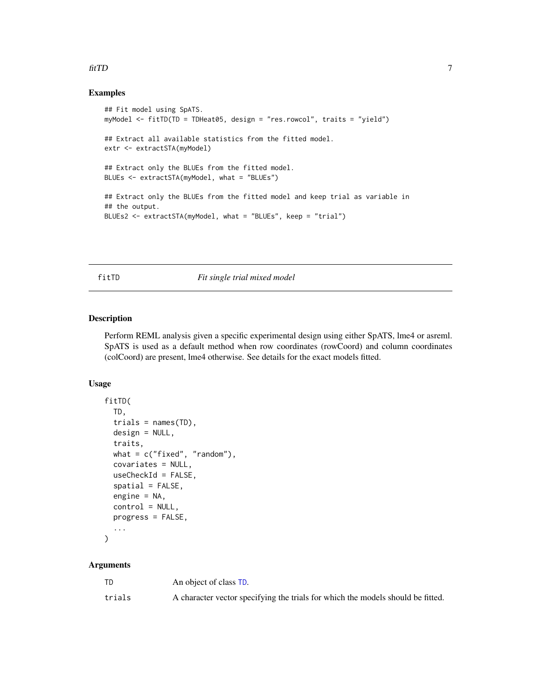## <span id="page-6-0"></span>fitTD 7 and 7 and 7 and 7 and 7 and 7 and 7 and 7 and 7 and 7 and 7 and 7 and 7 and 7 and 7 and 7 and 7 and 7 and 7 and 7 and 7 and 7 and 7 and 7 and 7 and 7 and 7 and 7 and 7 and 7 and 7 and 7 and 7 and 7 and 7 and 7 and

# Examples

```
## Fit model using SpATS.
myModel <- fitTD(TD = TDHeat05, design = "res.rowcol", traits = "yield")
## Extract all available statistics from the fitted model.
extr <- extractSTA(myModel)
## Extract only the BLUEs from the fitted model.
BLUEs <- extractSTA(myModel, what = "BLUEs")
## Extract only the BLUEs from the fitted model and keep trial as variable in
## the output.
BLUEs2 <- extractSTA(myModel, what = "BLUEs", keep = "trial")
```
<span id="page-6-1"></span>fitTD *Fit single trial mixed model*

### Description

Perform REML analysis given a specific experimental design using either SpATS, lme4 or asreml. SpATS is used as a default method when row coordinates (rowCoord) and column coordinates (colCoord) are present, lme4 otherwise. See details for the exact models fitted.

# Usage

```
fitTD(
  TD,
  trials = names(TD),
  design = NULL,
  traits,
  what = c("fixed", "random"),covariates = NULL,
  useCheckId = FALSE,
  spatial = FALSE,engine = NA,
  control = NULL,
  progress = FALSE,
  ...
\mathcal{L}
```
#### Arguments

| TD     | An object of class TD.                                                          |
|--------|---------------------------------------------------------------------------------|
| trials | A character vector specifying the trials for which the models should be fitted. |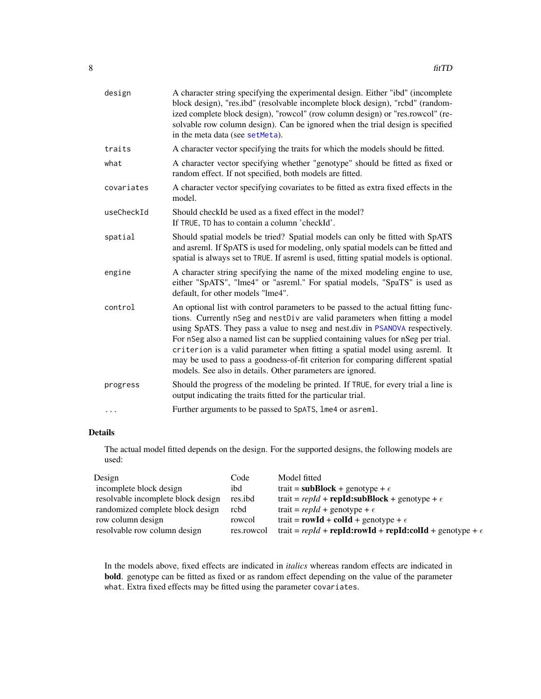<span id="page-7-0"></span>

| design     | A character string specifying the experimental design. Either "ibd" (incomplete<br>block design), "res.ibd" (resolvable incomplete block design), "rcbd" (random-<br>ized complete block design), "rowcol" (row column design) or "res.rowcol" (re-<br>solvable row column design). Can be ignored when the trial design is specified<br>in the meta data (see setMeta).                                                                                                                                                                                              |
|------------|-----------------------------------------------------------------------------------------------------------------------------------------------------------------------------------------------------------------------------------------------------------------------------------------------------------------------------------------------------------------------------------------------------------------------------------------------------------------------------------------------------------------------------------------------------------------------|
| traits     | A character vector specifying the traits for which the models should be fitted.                                                                                                                                                                                                                                                                                                                                                                                                                                                                                       |
| what       | A character vector specifying whether "genotype" should be fitted as fixed or<br>random effect. If not specified, both models are fitted.                                                                                                                                                                                                                                                                                                                                                                                                                             |
| covariates | A character vector specifying covariates to be fitted as extra fixed effects in the<br>model.                                                                                                                                                                                                                                                                                                                                                                                                                                                                         |
| useCheckId | Should checkId be used as a fixed effect in the model?<br>If TRUE, TD has to contain a column 'checkId'.                                                                                                                                                                                                                                                                                                                                                                                                                                                              |
| spatial    | Should spatial models be tried? Spatial models can only be fitted with SpATS<br>and asreml. If SpATS is used for modeling, only spatial models can be fitted and<br>spatial is always set to TRUE. If asreml is used, fitting spatial models is optional.                                                                                                                                                                                                                                                                                                             |
| engine     | A character string specifying the name of the mixed modeling engine to use,<br>either "SpATS", "lme4" or "asreml." For spatial models, "SpaTS" is used as<br>default, for other models "lme4".                                                                                                                                                                                                                                                                                                                                                                        |
| control    | An optional list with control parameters to be passed to the actual fitting func-<br>tions. Currently nSeg and nestDiv are valid parameters when fitting a model<br>using SpATS. They pass a value to nseg and nest.div in PSANOVA respectively.<br>For nSeg also a named list can be supplied containing values for nSeg per trial.<br>criterion is a valid parameter when fitting a spatial model using asreml. It<br>may be used to pass a goodness-of-fit criterion for comparing different spatial<br>models. See also in details. Other parameters are ignored. |
| progress   | Should the progress of the modeling be printed. If TRUE, for every trial a line is<br>output indicating the traits fitted for the particular trial.                                                                                                                                                                                                                                                                                                                                                                                                                   |
|            | Further arguments to be passed to SpATS, lme4 or asreml.                                                                                                                                                                                                                                                                                                                                                                                                                                                                                                              |

# Details

The actual model fitted depends on the design. For the supported designs, the following models are used:

| Design                             | Code       | Model fitted                                                            |
|------------------------------------|------------|-------------------------------------------------------------------------|
| incomplete block design            | ibd        | trait = subBlock + genotype + $\epsilon$                                |
| resolvable incomplete block design | res.ibd    | trait = $repId$ + $repId$ : subBlock + genotype + $\epsilon$            |
| randomized complete block design   | rcbd       | trait = $repId$ + genotype + $\epsilon$                                 |
| row column design                  | rowcol     | trait = $rowId + colId + genotype + \epsilon$                           |
| resolvable row column design       | res.rowcol | trait = $repId$ + $repId:rowId$ + $repId:colld$ + $genotype + \epsilon$ |

In the models above, fixed effects are indicated in *italics* whereas random effects are indicated in bold. genotype can be fitted as fixed or as random effect depending on the value of the parameter what. Extra fixed effects may be fitted using the parameter covariates.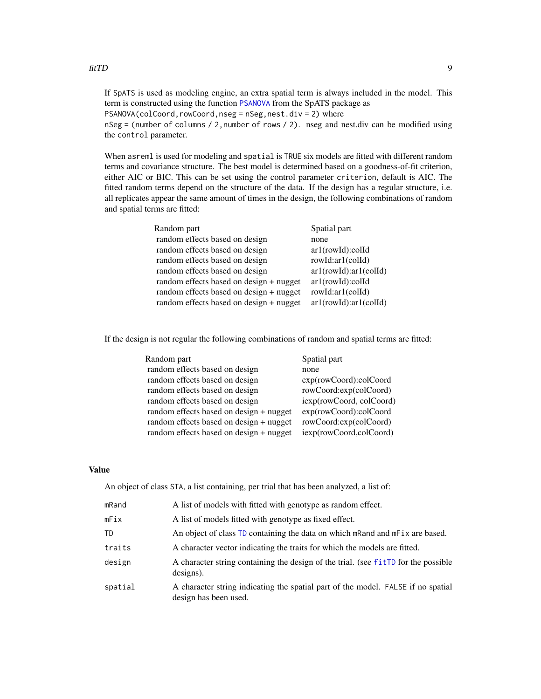<span id="page-8-0"></span>If SpATS is used as modeling engine, an extra spatial term is always included in the model. This term is constructed using the function [PSANOVA](#page-0-0) from the SpATS package as

PSANOVA(colCoord,rowCoord,nseg = nSeg,nest.div = 2) where

nSeg = (number of columns / 2,number of rows / 2). nseg and nest.div can be modified using the control parameter.

When asreml is used for modeling and spatial is TRUE six models are fitted with different random terms and covariance structure. The best model is determined based on a goodness-of-fit criterion, either AIC or BIC. This can be set using the control parameter criterion, default is AIC. The fitted random terms depend on the structure of the data. If the design has a regular structure, i.e. all replicates appear the same amount of times in the design, the following combinations of random and spatial terms are fitted:

| Random part                             | Spatial part          |
|-----------------------------------------|-----------------------|
| random effects based on design          | none                  |
| random effects based on design          | ar1(rowId):colld      |
| random effects based on design          | rowId:ar1(colId)      |
| random effects based on design          | ar1(rowId):ar1(colld) |
| random effects based on design + nugget | ar1(rowId):colld      |
| random effects based on design + nugget | rowId:ar1(colId)      |
| random effects based on design + nugget | ar1(rowId):ar1(colld) |

If the design is not regular the following combinations of random and spatial terms are fitted:

| Random part                             | Spatial part             |
|-----------------------------------------|--------------------------|
| random effects based on design          | none                     |
| random effects based on design          | exp(rowCoord):colCoord   |
| random effects based on design          | rowCoord:exp(colCoord)   |
| random effects based on design          | iexp(rowCoord, colCoord) |
| random effects based on design + nugget | exp(rowCoord):colCoord   |
| random effects based on design + nugget | rowCoord:exp(colCoord)   |
| random effects based on design + nugget | iexp(rowCoord,colCoord)  |

#### Value

An object of class STA, a list containing, per trial that has been analyzed, a list of:

| mRand   | A list of models with fitted with genotype as random effect.                                              |
|---------|-----------------------------------------------------------------------------------------------------------|
| mFix    | A list of models fitted with genotype as fixed effect.                                                    |
| TD      | An object of class TD containing the data on which mRand and mFix are based.                              |
| traits  | A character vector indicating the traits for which the models are fitted.                                 |
| design  | A character string containing the design of the trial. (see fitTD for the possible<br>$designs)$ .        |
| spatial | A character string indicating the spatial part of the model. FALSE if no spatial<br>design has been used. |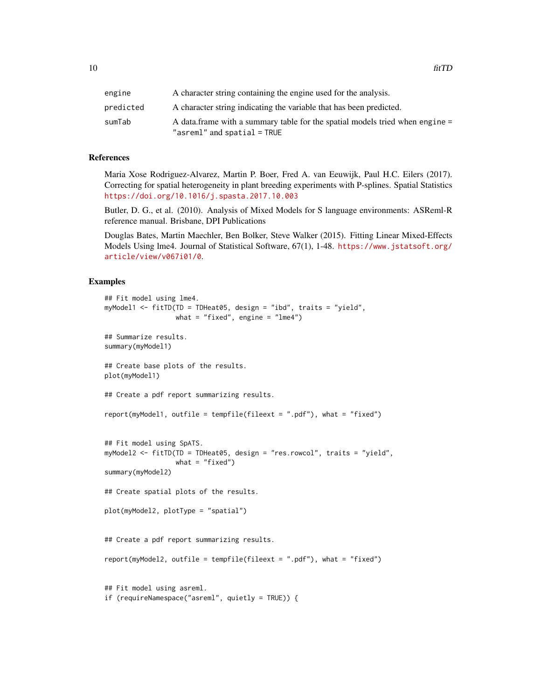| engine    | A character string containing the engine used for the analysis.                                                |
|-----------|----------------------------------------------------------------------------------------------------------------|
| predicted | A character string indicating the variable that has been predicted.                                            |
| sumTab    | A data. frame with a summary table for the spatial models tried when engine =<br>"asreml" and spatial $=$ TRUE |

## References

Maria Xose Rodriguez-Alvarez, Martin P. Boer, Fred A. van Eeuwijk, Paul H.C. Eilers (2017). Correcting for spatial heterogeneity in plant breeding experiments with P-splines. Spatial Statistics <https://doi.org/10.1016/j.spasta.2017.10.003>

Butler, D. G., et al. (2010). Analysis of Mixed Models for S language environments: ASReml-R reference manual. Brisbane, DPI Publications

Douglas Bates, Martin Maechler, Ben Bolker, Steve Walker (2015). Fitting Linear Mixed-Effects Models Using lme4. Journal of Statistical Software, 67(1), 1-48. [https://www.jstatsoft.org/](https://www.jstatsoft.org/article/view/v067i01/0) [article/view/v067i01/0](https://www.jstatsoft.org/article/view/v067i01/0).

#### Examples

```
## Fit model using lme4.
myModel1 <- fitTD(TD = TDHeat05, design = "ibd", traits = "yield",
                 what = "fixed", engine = "lme4")
## Summarize results.
summary(myModel1)
## Create base plots of the results.
plot(myModel1)
## Create a pdf report summarizing results.
report(myModel1, outfile = tempfile(fileext = ".pdf"), what = "fixed")
## Fit model using SpATS.
myModel2 <- fitTD(TD = TDHeat05, design = "res.rowcol", traits = "yield",
                  what = "fixed")
summary(myModel2)
## Create spatial plots of the results.
plot(myModel2, plotType = "spatial")
## Create a pdf report summarizing results.
report(myModel2, outfile = tempfile(fileext = ".pdf"), what = "fixed")
## Fit model using asreml.
if (requireNamespace("asreml", quietly = TRUE)) {
```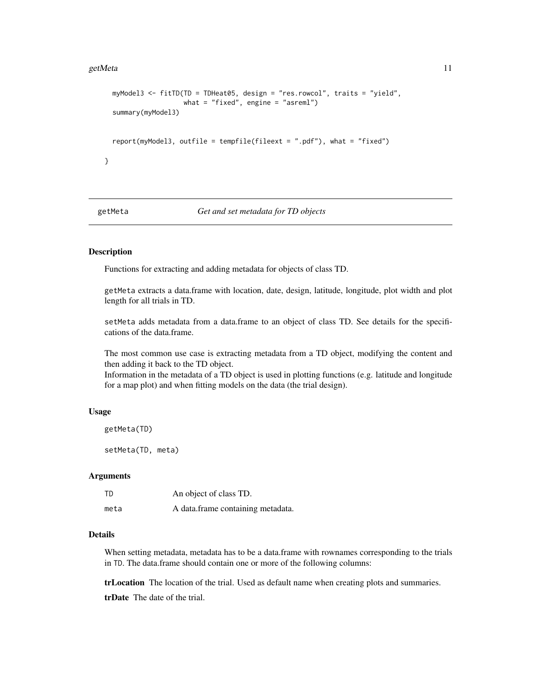#### <span id="page-10-0"></span>getMeta and the set of the set of the set of the set of the set of the set of the set of the set of the set of the set of the set of the set of the set of the set of the set of the set of the set of the set of the set of t

```
myModel3 <- fitTD(TD = TDHeat05, design = "res.rowcol", traits = "yield",
                  what = "fixed", engine = "asreml")
summary(myModel3)
report(myModel3, outfile = tempfile(fileext = ".pdf"), what = "fixed")
```
<span id="page-10-2"></span>

}

#### getMeta *Get and set metadata for TD objects*

# <span id="page-10-1"></span>Description

Functions for extracting and adding metadata for objects of class TD.

getMeta extracts a data.frame with location, date, design, latitude, longitude, plot width and plot length for all trials in TD.

setMeta adds metadata from a data.frame to an object of class TD. See details for the specifications of the data.frame.

The most common use case is extracting metadata from a TD object, modifying the content and then adding it back to the TD object.

Information in the metadata of a TD object is used in plotting functions (e.g. latitude and longitude for a map plot) and when fitting models on the data (the trial design).

#### Usage

```
getMeta(TD)
```
setMeta(TD, meta)

#### Arguments

| TD   | An object of class TD.            |
|------|-----------------------------------|
| meta | A data.frame containing metadata. |

# Details

When setting metadata, metadata has to be a data.frame with rownames corresponding to the trials in TD. The data.frame should contain one or more of the following columns:

trLocation The location of the trial. Used as default name when creating plots and summaries.

trDate The date of the trial.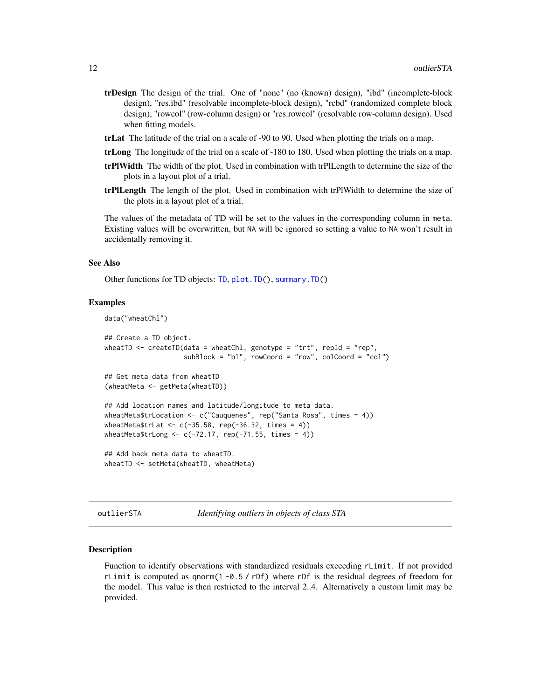- <span id="page-11-0"></span>trDesign The design of the trial. One of "none" (no (known) design), "ibd" (incomplete-block design), "res.ibd" (resolvable incomplete-block design), "rcbd" (randomized complete block design), "rowcol" (row-column design) or "res.rowcol" (resolvable row-column design). Used when fitting models.
- trLat The latitude of the trial on a scale of -90 to 90. Used when plotting the trials on a map.
- trLong The longitude of the trial on a scale of -180 to 180. Used when plotting the trials on a map.
- trPlWidth The width of the plot. Used in combination with trPlLength to determine the size of the plots in a layout plot of a trial.
- trPlLength The length of the plot. Used in combination with trPlWidth to determine the size of the plots in a layout plot of a trial.

The values of the metadata of TD will be set to the values in the corresponding column in meta. Existing values will be overwritten, but NA will be ignored so setting a value to NA won't result in accidentally removing it.

#### See Also

Other functions for TD objects: [TD](#page-26-1), [plot.TD\(](#page-15-1)), [summary.TD\(](#page-24-1))

#### Examples

```
data("wheatChl")
```

```
## Create a TD object.
wheatTD \le - createTD(data = wheatChl, genotype = "trt", repId = "rep",
                    subBlock = "bl", rowCoord = "row", colCoord = "col")
## Get meta data from wheatTD
(wheatMeta <- getMeta(wheatTD))
## Add location names and latitude/longitude to meta data.
wheatMeta$trLocation <- c("Cauquenes", rep("Santa Rosa", times = 4))
```

```
wheatMeta$trLong \leq c(-72.17, rep(-71.55, times = 4))
## Add back meta data to wheatTD.
```
wheatMeta\$trLat <-  $c(-35.58, rep(-36.32, times = 4))$ 

```
wheatTD <- setMeta(wheatTD, wheatMeta)
```
outlierSTA *Identifying outliers in objects of class STA*

#### Description

Function to identify observations with standardized residuals exceeding rLimit. If not provided rLimit is computed as qnorm( $1 - 0.5 / r$ Df) where rDf is the residual degrees of freedom for the model. This value is then restricted to the interval 2..4. Alternatively a custom limit may be provided.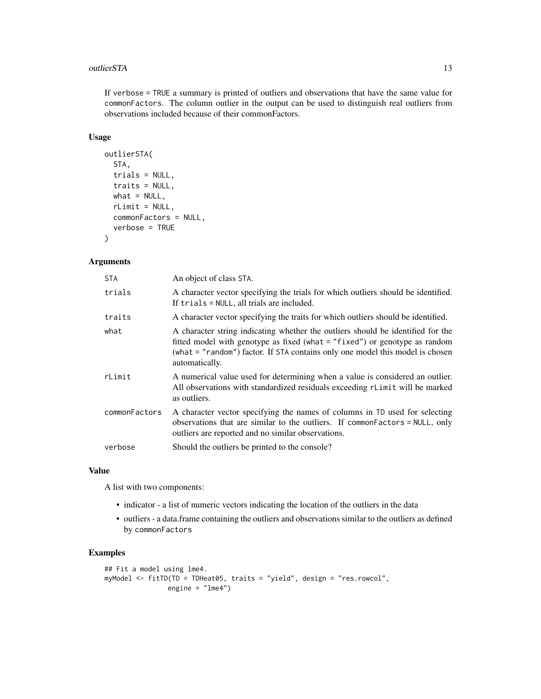#### outlierSTA 13

If verbose = TRUE a summary is printed of outliers and observations that have the same value for commonFactors. The column outlier in the output can be used to distinguish real outliers from observations included because of their commonFactors.

# Usage

```
outlierSTA(
  STA,
  trials = NULL,
  traits = NULL,
 what = NULL,rLimit = NULL,
  commonFactors = NULL,
  verbose = TRUE
)
```
# Arguments

| <b>STA</b>    | An object of class STA.                                                                                                                                                                                                                                            |
|---------------|--------------------------------------------------------------------------------------------------------------------------------------------------------------------------------------------------------------------------------------------------------------------|
| trials        | A character vector specifying the trials for which outliers should be identified.<br>If trials = NULL, all trials are included.                                                                                                                                    |
| traits        | A character vector specifying the traits for which outliers should be identified.                                                                                                                                                                                  |
| what          | A character string indicating whether the outliers should be identified for the<br>fitted model with genotype as fixed (what $=$ "fixed") or genotype as random<br>(what = "random") factor. If STA contains only one model this model is chosen<br>automatically. |
| rLimit        | A numerical value used for determining when a value is considered an outlier.<br>All observations with standardized residuals exceeding rLimit will be marked<br>as outliers.                                                                                      |
| commonFactors | A character vector specifying the names of columns in TD used for selecting<br>observations that are similar to the outliers. If common Factors = NULL, only<br>outliers are reported and no similar observations.                                                 |
| verbose       | Should the outliers be printed to the console?                                                                                                                                                                                                                     |

#### Value

A list with two components:

- indicator a list of numeric vectors indicating the location of the outliers in the data
- outliers a data.frame containing the outliers and observations similar to the outliers as defined by commonFactors

# Examples

```
## Fit a model using lme4.
myModel <- fitTD(TD = TDHeat05, traits = "yield", design = "res.rowcol",
                engine = "lme4")
```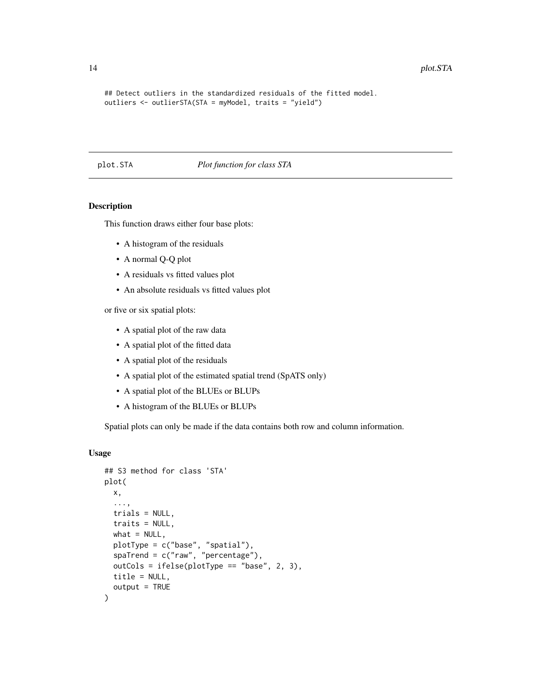```
## Detect outliers in the standardized residuals of the fitted model.
outliers <- outlierSTA(STA = myModel, traits = "yield")
```
#### <span id="page-13-1"></span>plot.STA *Plot function for class STA*

# Description

This function draws either four base plots:

- A histogram of the residuals
- A normal Q-Q plot
- A residuals vs fitted values plot
- An absolute residuals vs fitted values plot

or five or six spatial plots:

- A spatial plot of the raw data
- A spatial plot of the fitted data
- A spatial plot of the residuals
- A spatial plot of the estimated spatial trend (SpATS only)
- A spatial plot of the BLUEs or BLUPs
- A histogram of the BLUEs or BLUPs

Spatial plots can only be made if the data contains both row and column information.

# Usage

```
## S3 method for class 'STA'
plot(
  x,
  ...,
  trials = NULL,
  traits = NULL,
  what = NULL,plotType = c("base", "spatial"),
  spaTrend = c("raw", "percentage"),
  outCols = ifelse(plotType == "base", 2, 3),
  title = NULL,
  output = TRUE)
```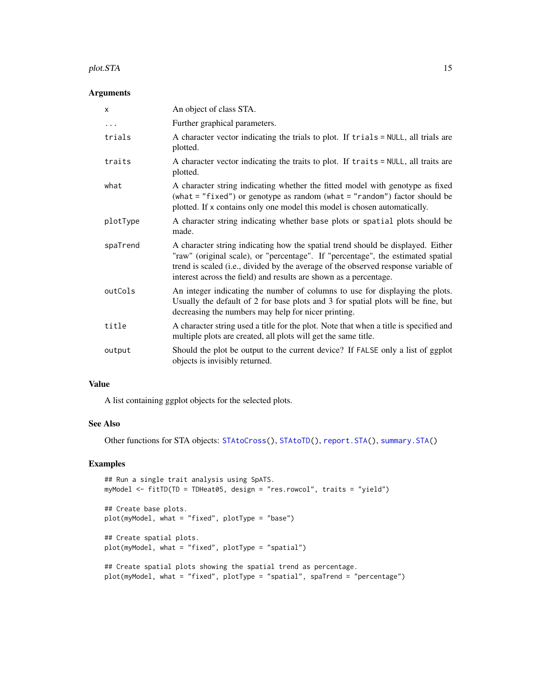#### <span id="page-14-0"></span>plot.STA 15

#### Arguments

| X        | An object of class STA.                                                                                                                                                                                                                                                                                                       |
|----------|-------------------------------------------------------------------------------------------------------------------------------------------------------------------------------------------------------------------------------------------------------------------------------------------------------------------------------|
| $\cdots$ | Further graphical parameters.                                                                                                                                                                                                                                                                                                 |
| trials   | A character vector indicating the trials to plot. If trials = NULL, all trials are<br>plotted.                                                                                                                                                                                                                                |
| traits   | A character vector indicating the traits to plot. If traits = NULL, all traits are<br>plotted.                                                                                                                                                                                                                                |
| what     | A character string indicating whether the fitted model with genotype as fixed<br>(what = "fixed") or genotype as random (what = "random") factor should be<br>plotted. If x contains only one model this model is chosen automatically.                                                                                       |
| plotType | A character string indicating whether base plots or spatial plots should be<br>made.                                                                                                                                                                                                                                          |
| spaTrend | A character string indicating how the spatial trend should be displayed. Either<br>"raw" (original scale), or "percentage". If "percentage", the estimated spatial<br>trend is scaled (i.e., divided by the average of the observed response variable of<br>interest across the field) and results are shown as a percentage. |
| outCols  | An integer indicating the number of columns to use for displaying the plots.<br>Usually the default of 2 for base plots and 3 for spatial plots will be fine, but<br>decreasing the numbers may help for nicer printing.                                                                                                      |
| title    | A character string used a title for the plot. Note that when a title is specified and<br>multiple plots are created, all plots will get the same title.                                                                                                                                                                       |
| output   | Should the plot be output to the current device? If FALSE only a list of ggplot<br>objects is invisibly returned.                                                                                                                                                                                                             |

# Value

A list containing ggplot objects for the selected plots.

#### See Also

Other functions for STA objects: [STAtoCross\(](#page-20-1)), [STAtoTD\(](#page-22-1)), [report.STA\(](#page-19-1)), [summary.STA\(](#page-23-1))

# Examples

```
## Run a single trait analysis using SpATS.
myModel <- fitTD(TD = TDHeat05, design = "res.rowcol", traits = "yield")
## Create base plots.
plot(myModel, what = "fixed", plotType = "base")
## Create spatial plots.
plot(myModel, what = "fixed", plotType = "spatial")
## Create spatial plots showing the spatial trend as percentage.
plot(myModel, what = "fixed", plotType = "spatial", spaTrend = "percentage")
```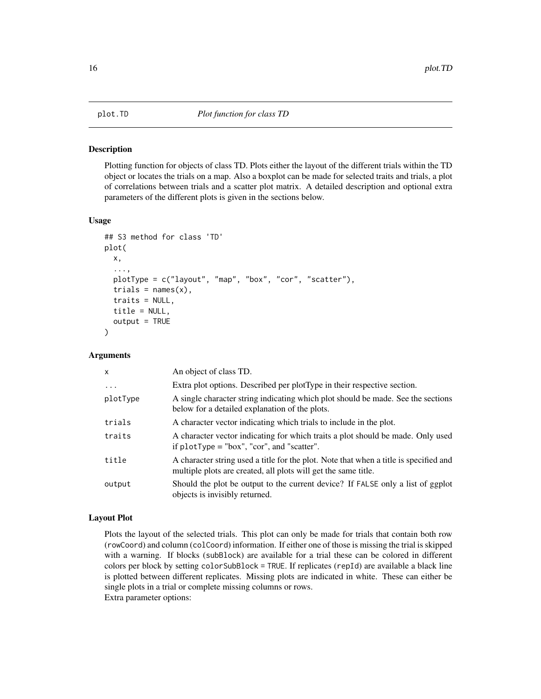#### Description

Plotting function for objects of class TD. Plots either the layout of the different trials within the TD object or locates the trials on a map. Also a boxplot can be made for selected traits and trials, a plot of correlations between trials and a scatter plot matrix. A detailed description and optional extra parameters of the different plots is given in the sections below.

#### Usage

```
## S3 method for class 'TD'
plot(
 x,
  ...,
 plotType = c("layout", "map", "box", "cor", "scatter"),
  trials = names(x),
  traits = NULL,
  title = NULL,
  output = TRUE
)
```
# Arguments

| $\mathsf{x}$ | An object of class TD.                                                                                                                                  |
|--------------|---------------------------------------------------------------------------------------------------------------------------------------------------------|
| $\ddotsc$    | Extra plot options. Described per plotType in their respective section.                                                                                 |
| plotType     | A single character string indicating which plot should be made. See the sections<br>below for a detailed explanation of the plots.                      |
| trials       | A character vector indicating which trials to include in the plot.                                                                                      |
| traits       | A character vector indicating for which traits a plot should be made. Only used<br>if $plotType = "box", "cor", and "scatter".$                         |
| title        | A character string used a title for the plot. Note that when a title is specified and<br>multiple plots are created, all plots will get the same title. |
| output       | Should the plot be output to the current device? If FALSE only a list of ggplot<br>objects is invisibly returned.                                       |

#### Layout Plot

Plots the layout of the selected trials. This plot can only be made for trials that contain both row (rowCoord) and column (colCoord) information. If either one of those is missing the trial is skipped with a warning. If blocks (subBlock) are available for a trial these can be colored in different colors per block by setting colorSubBlock = TRUE. If replicates (repId) are available a black line is plotted between different replicates. Missing plots are indicated in white. These can either be single plots in a trial or complete missing columns or rows. Extra parameter options:

<span id="page-15-1"></span><span id="page-15-0"></span>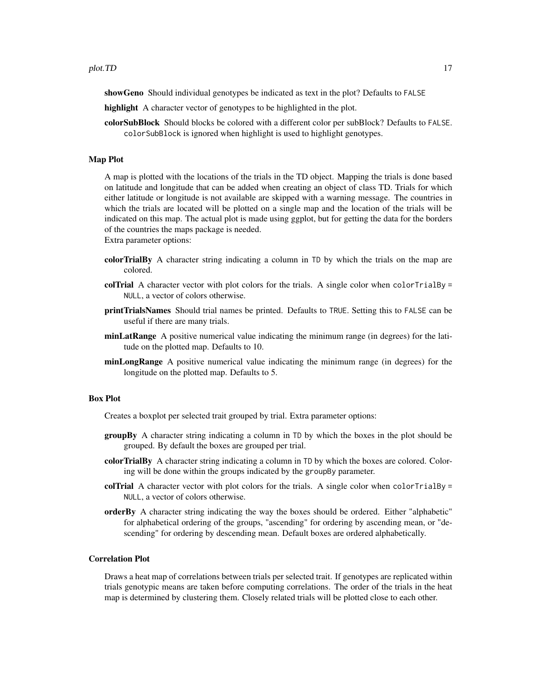showGeno Should individual genotypes be indicated as text in the plot? Defaults to FALSE

- highlight A character vector of genotypes to be highlighted in the plot.
- colorSubBlock Should blocks be colored with a different color per subBlock? Defaults to FALSE. colorSubBlock is ignored when highlight is used to highlight genotypes.

# Map Plot

A map is plotted with the locations of the trials in the TD object. Mapping the trials is done based on latitude and longitude that can be added when creating an object of class TD. Trials for which either latitude or longitude is not available are skipped with a warning message. The countries in which the trials are located will be plotted on a single map and the location of the trials will be indicated on this map. The actual plot is made using ggplot, but for getting the data for the borders of the countries the maps package is needed. Extra parameter options:

- colorTrialBy A character string indicating a column in TD by which the trials on the map are colored.
- colTrial A character vector with plot colors for the trials. A single color when  $colorTrially =$ NULL, a vector of colors otherwise.
- printTrialsNames Should trial names be printed. Defaults to TRUE. Setting this to FALSE can be useful if there are many trials.
- minLatRange A positive numerical value indicating the minimum range (in degrees) for the latitude on the plotted map. Defaults to 10.
- minLongRange A positive numerical value indicating the minimum range (in degrees) for the longitude on the plotted map. Defaults to 5.

#### Box Plot

Creates a boxplot per selected trait grouped by trial. Extra parameter options:

- groupBy A character string indicating a column in TD by which the boxes in the plot should be grouped. By default the boxes are grouped per trial.
- colorTrialBy A character string indicating a column in TD by which the boxes are colored. Coloring will be done within the groups indicated by the groupBy parameter.
- colTrial A character vector with plot colors for the trials. A single color when  $colorTrially =$ NULL, a vector of colors otherwise.
- orderBy A character string indicating the way the boxes should be ordered. Either "alphabetic" for alphabetical ordering of the groups, "ascending" for ordering by ascending mean, or "descending" for ordering by descending mean. Default boxes are ordered alphabetically.

#### Correlation Plot

Draws a heat map of correlations between trials per selected trait. If genotypes are replicated within trials genotypic means are taken before computing correlations. The order of the trials in the heat map is determined by clustering them. Closely related trials will be plotted close to each other.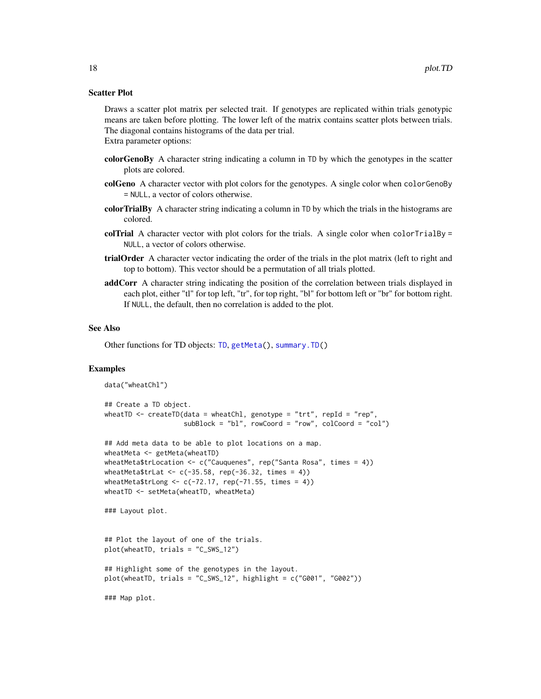#### <span id="page-17-0"></span>Scatter Plot

Draws a scatter plot matrix per selected trait. If genotypes are replicated within trials genotypic means are taken before plotting. The lower left of the matrix contains scatter plots between trials. The diagonal contains histograms of the data per trial. Extra parameter options:

- colorGenoBy A character string indicating a column in TD by which the genotypes in the scatter plots are colored.
- colGeno A character vector with plot colors for the genotypes. A single color when colorGenoBy = NULL, a vector of colors otherwise.
- colorTrialBy A character string indicating a column in TD by which the trials in the histograms are colored.
- colTrial A character vector with plot colors for the trials. A single color when  $colorTrially =$ NULL, a vector of colors otherwise.
- trialOrder A character vector indicating the order of the trials in the plot matrix (left to right and top to bottom). This vector should be a permutation of all trials plotted.
- addCorr A character string indicating the position of the correlation between trials displayed in each plot, either "tl" for top left, "tr", for top right, "bl" for bottom left or "br" for bottom right. If NULL, the default, then no correlation is added to the plot.

#### See Also

Other functions for TD objects: [TD](#page-26-1), [getMeta\(](#page-10-2)), [summary.TD\(](#page-24-1))

#### Examples

```
data("wheatChl")
## Create a TD object.
wheatTD \leq createTD(data = wheatChl, genotype = "trt", repId = "rep",
                    subBlock = "bl", rowCoord = "row", colCoord = "col")
## Add meta data to be able to plot locations on a map.
wheatMeta <- getMeta(wheatTD)
wheatMeta$trLocation <- c("Cauquenes", rep("Santa Rosa", times = 4))
wheatMeta$trLat <- c(-35.58, rep(-36.32, times = 4))wheatMeta$trLong \leq c(-72.17, rep(-71.55, times = 4))wheatTD <- setMeta(wheatTD, wheatMeta)
### Layout plot.
## Plot the layout of one of the trials.
plot(wheatTD, trials = "C_SWS_12")
## Highlight some of the genotypes in the layout.
plot(wheatTD, trials = "C_SWS_12", highlight = c("G001", "G002"))
### Map plot.
```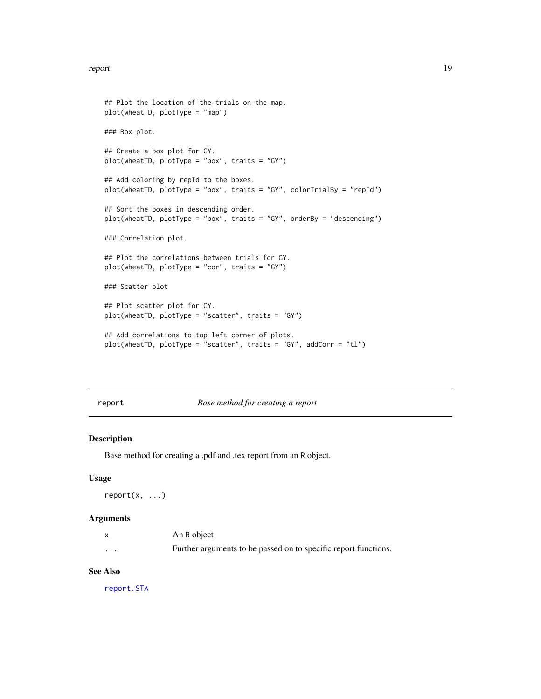#### <span id="page-18-0"></span>report that the contract of the contract of the contract of the contract of the contract of the contract of the contract of the contract of the contract of the contract of the contract of the contract of the contract of th

```
## Plot the location of the trials on the map.
plot(wheatTD, plotType = "map")
### Box plot.
## Create a box plot for GY.
plot(wheatTD, plotType = "box", traits = "GY")
## Add coloring by repId to the boxes.
plot(wheatTD, plotType = "box", traits = "GY", colorTrialBy = "repId")
## Sort the boxes in descending order.
plot(wheatTD, plotType = "box", traits = "GY", orderBy = "descending")
### Correlation plot.
## Plot the correlations between trials for GY.
plot(wheatTD, plotType = "cor", traits = "GY")
### Scatter plot
## Plot scatter plot for GY.
plot(wheatTD, plotType = "scatter", traits = "GY")
## Add correlations to top left corner of plots.
plot(wheatTD, plotType = "scatter", traits = "GY", addCorr = "tl")
```
report *Base method for creating a report*

# Description

Base method for creating a .pdf and .tex report from an R object.

#### Usage

report(x, ...)

#### Arguments

|          | An R object                                                     |
|----------|-----------------------------------------------------------------|
| $\cdots$ | Further arguments to be passed on to specific report functions. |

#### See Also

[report.STA](#page-19-1)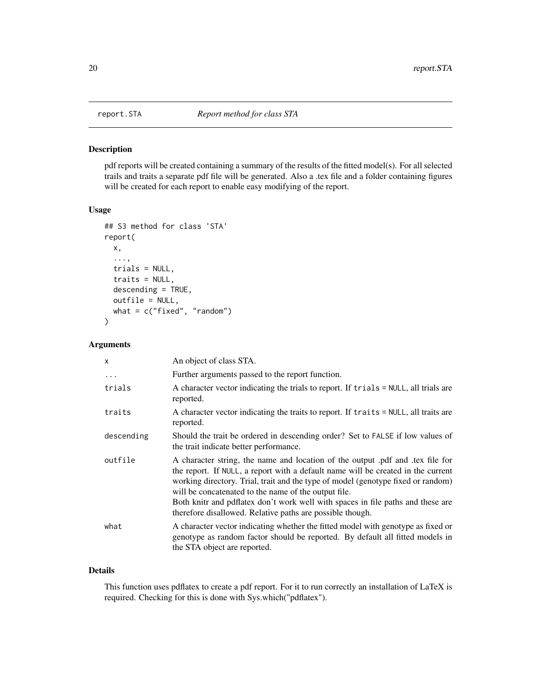<span id="page-19-1"></span><span id="page-19-0"></span>

#### Description

pdf reports will be created containing a summary of the results of the fitted model(s). For all selected trails and traits a separate pdf file will be generated. Also a .tex file and a folder containing figures will be created for each report to enable easy modifying of the report.

### Usage

```
## S3 method for class 'STA'
report(
 x,
  ...,
 trials = NULL,
  traits = NULL,
 descending = TRUE,
 outfile = NULL,
 what = c("fixed", "random"))
```
# Arguments

| X          | An object of class STA.                                                                                                                                                                                                                                                                                                                                                                                                                                      |
|------------|--------------------------------------------------------------------------------------------------------------------------------------------------------------------------------------------------------------------------------------------------------------------------------------------------------------------------------------------------------------------------------------------------------------------------------------------------------------|
| $\ddots$   | Further arguments passed to the report function.                                                                                                                                                                                                                                                                                                                                                                                                             |
| trials     | A character vector indicating the trials to report. If trials = NULL, all trials are<br>reported.                                                                                                                                                                                                                                                                                                                                                            |
| traits     | A character vector indicating the traits to report. If traits = NULL, all traits are<br>reported.                                                                                                                                                                                                                                                                                                                                                            |
| descending | Should the trait be ordered in descending order? Set to FALSE if low values of<br>the trait indicate better performance.                                                                                                                                                                                                                                                                                                                                     |
| outfile    | A character string, the name and location of the output pdf and tex file for<br>the report. If NULL, a report with a default name will be created in the current<br>working directory. Trial, trait and the type of model (genotype fixed or random)<br>will be concatenated to the name of the output file.<br>Both knitr and pdflatex don't work well with spaces in file paths and these are<br>therefore disallowed. Relative paths are possible though. |
| what       | A character vector indicating whether the fitted model with genotype as fixed or<br>genotype as random factor should be reported. By default all fitted models in<br>the STA object are reported.                                                                                                                                                                                                                                                            |

#### Details

This function uses pdflatex to create a pdf report. For it to run correctly an installation of LaTeX is required. Checking for this is done with Sys.which("pdflatex").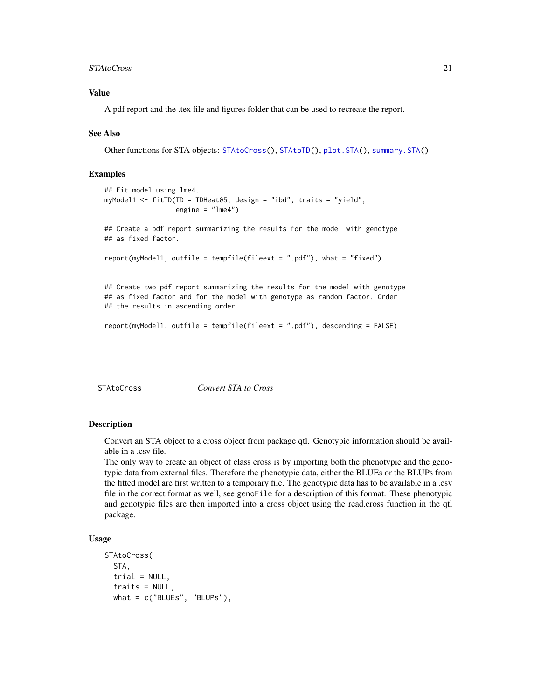#### <span id="page-20-0"></span>STAtoCross 21

# Value

A pdf report and the .tex file and figures folder that can be used to recreate the report.

#### See Also

Other functions for STA objects: [STAtoCross\(](#page-20-1)), [STAtoTD\(](#page-22-1)), [plot.STA\(](#page-13-1)), [summary.STA\(](#page-23-1))

#### Examples

```
## Fit model using lme4.
myModel1 <- fitTD(TD = TDHeat05, design = "ibd", traits = "yield",
                  engine = "lme4")
## Create a pdf report summarizing the results for the model with genotype
## as fixed factor.
report(myModel1, outfile = tempfile(fileext = ".pdf"), what = "fixed")
## Create two pdf report summarizing the results for the model with genotype
## as fixed factor and for the model with genotype as random factor. Order
## the results in ascending order.
```

```
report(myModel1, outfile = tempfile(fileext = ".pdf"), descending = FALSE)
```
<span id="page-20-1"></span>STAtoCross *Convert STA to Cross*

#### **Description**

Convert an STA object to a cross object from package qtl. Genotypic information should be available in a .csv file.

The only way to create an object of class cross is by importing both the phenotypic and the genotypic data from external files. Therefore the phenotypic data, either the BLUEs or the BLUPs from the fitted model are first written to a temporary file. The genotypic data has to be available in a .csv file in the correct format as well, see genoFile for a description of this format. These phenotypic and genotypic files are then imported into a cross object using the read.cross function in the qtl package.

#### Usage

```
STAtoCross(
  STA,
  trial = NULL,traits = NULL,
 what = c("BLEs", "BLEUPs"),
```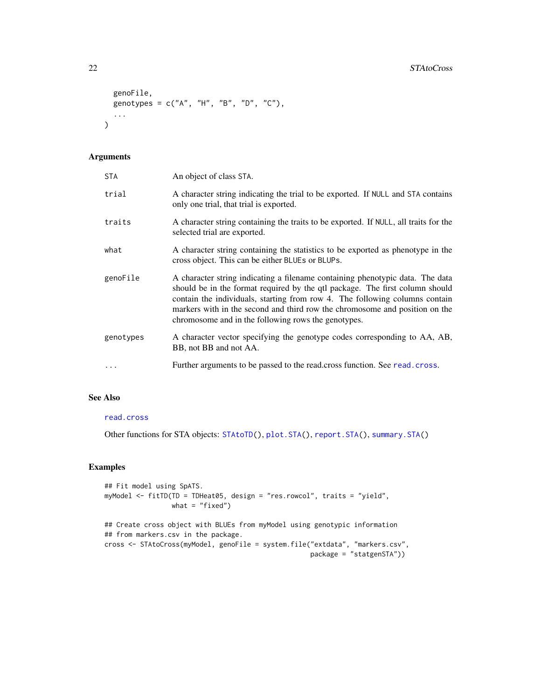```
genoFile,
genotypes = c("A", "H", "B", "D", "C"),
...
```
## Arguments

 $\mathcal{L}$ 

| <b>STA</b> | An object of class STA.                                                                                                                                                                                                                                                                                                                                                            |
|------------|------------------------------------------------------------------------------------------------------------------------------------------------------------------------------------------------------------------------------------------------------------------------------------------------------------------------------------------------------------------------------------|
| trial      | A character string indicating the trial to be exported. If NULL and STA contains<br>only one trial, that trial is exported.                                                                                                                                                                                                                                                        |
| traits     | A character string containing the traits to be exported. If NULL, all traits for the<br>selected trial are exported.                                                                                                                                                                                                                                                               |
| what       | A character string containing the statistics to be exported as phenotype in the<br>cross object. This can be either BLUEs or BLUPs.                                                                                                                                                                                                                                                |
| genoFile   | A character string indicating a filename containing phenotypic data. The data<br>should be in the format required by the qtl package. The first column should<br>contain the individuals, starting from row 4. The following columns contain<br>markers with in the second and third row the chromosome and position on the<br>chromosome and in the following rows the genotypes. |
| genotypes  | A character vector specifying the genotype codes corresponding to AA, AB,<br>BB, not BB and not AA.                                                                                                                                                                                                                                                                                |
|            | Further arguments to be passed to the read.cross function. See read.cross.                                                                                                                                                                                                                                                                                                         |

# See Also

# [read.cross](#page-0-0)

Other functions for STA objects: [STAtoTD\(](#page-22-1)), [plot.STA\(](#page-13-1)), [report.STA\(](#page-19-1)), [summary.STA\(](#page-23-1))

# Examples

```
## Fit model using SpATS.
myModel <- fitTD(TD = TDHeat05, design = "res.rowcol", traits = "yield",
                what = "fixed")## Create cross object with BLUEs from myModel using genotypic information
## from markers.csv in the package.
cross <- STAtoCross(myModel, genoFile = system.file("extdata", "markers.csv",
                                                   package = "statgenSTA"))
```
<span id="page-21-0"></span>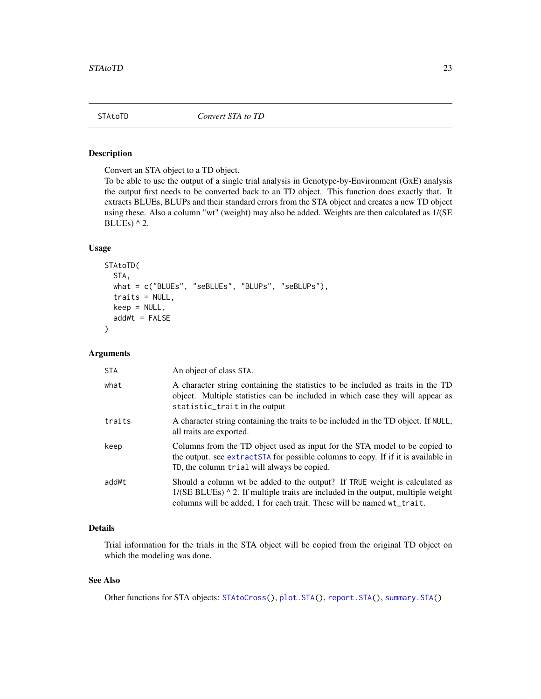#### <span id="page-22-1"></span><span id="page-22-0"></span>Description

Convert an STA object to a TD object.

To be able to use the output of a single trial analysis in Genotype-by-Environment (GxE) analysis the output first needs to be converted back to an TD object. This function does exactly that. It extracts BLUEs, BLUPs and their standard errors from the STA object and creates a new TD object using these. Also a column "wt" (weight) may also be added. Weights are then calculated as 1/(SE BLUEs)  $^{\wedge}$  2.

# Usage

```
STAtoTD(
  STA,
  what = c("BLUEs", "seBLUEs", "BLUPs", "seBLUPs"),
  traits = NULL,
 keep = NULL,
  addWt = FALSE)
```
#### **Arguments**

| STA    | An object of class STA.                                                                                                                                                                                                                              |
|--------|------------------------------------------------------------------------------------------------------------------------------------------------------------------------------------------------------------------------------------------------------|
| what   | A character string containing the statistics to be included as traits in the TD<br>object. Multiple statistics can be included in which case they will appear as<br>statistic_trait in the output                                                    |
| traits | A character string containing the traits to be included in the TD object. If NULL,<br>all traits are exported.                                                                                                                                       |
| keep   | Columns from the TD object used as input for the STA model to be copied to<br>the output. see extractSTA for possible columns to copy. If if it is available in<br>TD, the column trial will always be copied.                                       |
| addWt  | Should a column wt be added to the output? If TRUE weight is calculated as<br>$1/(SE$ BLUEs) $\wedge$ 2. If multiple traits are included in the output, multiple weight<br>columns will be added, 1 for each trait. These will be named $wt_train$ . |

# Details

Trial information for the trials in the STA object will be copied from the original TD object on which the modeling was done.

### See Also

Other functions for STA objects: [STAtoCross\(](#page-20-1)), [plot.STA\(](#page-13-1)), [report.STA\(](#page-19-1)), [summary.STA\(](#page-23-1))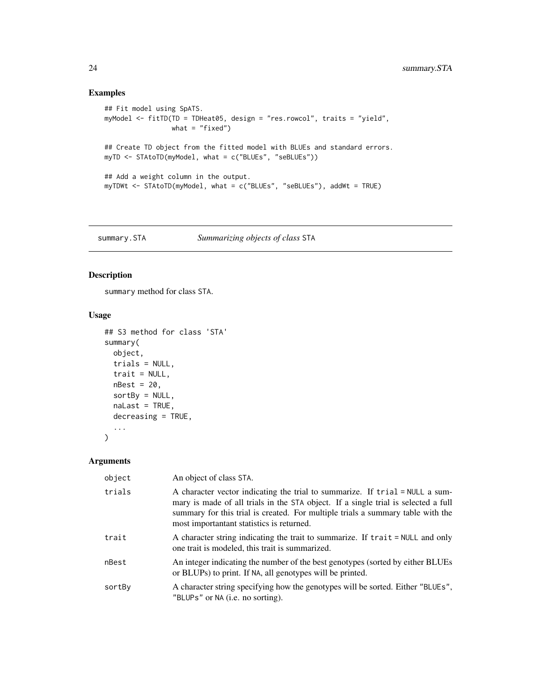# Examples

```
## Fit model using SpATS.
myModel <- fitTD(TD = TDHeat05, design = "res.rowcol", traits = "yield",
                what = "fixed")## Create TD object from the fitted model with BLUEs and standard errors.
myTD <- STAtoTD(myModel, what = c("BLUEs", "seBLUEs"))
## Add a weight column in the output.
myTDWt <- STAtoTD(myModel, what = c("BLUEs", "seBLUEs"), addWt = TRUE)
```
<span id="page-23-1"></span>summary.STA *Summarizing objects of class* STA

# Description

summary method for class STA.

# Usage

```
## S3 method for class 'STA'
summary(
 object,
  trials = NULL,
 trait = NULL,
 nBest = 20,
  sortBy = NULL,naLast = TRUE,
 decreasing = TRUE,
  ...
```
)

### Arguments

| object | An object of class STA.                                                                                                                                                                                                                                                                             |
|--------|-----------------------------------------------------------------------------------------------------------------------------------------------------------------------------------------------------------------------------------------------------------------------------------------------------|
| trials | A character vector indicating the trial to summarize. If trial = NULL a sum-<br>mary is made of all trials in the STA object. If a single trial is selected a full<br>summary for this trial is created. For multiple trials a summary table with the<br>most important and statistics is returned. |
| trait  | A character string indicating the trait to summarize. If trait = NULL and only<br>one trait is modeled, this trait is summarized.                                                                                                                                                                   |
| nBest  | An integer indicating the number of the best genotypes (sorted by either BLUEs<br>or BLUPs) to print. If NA, all genotypes will be printed.                                                                                                                                                         |
| sortBy | A character string specifying how the genotypes will be sorted. Either "BLUEs",<br>"BLUPs" or NA (i.e. no sorting).                                                                                                                                                                                 |

<span id="page-23-0"></span>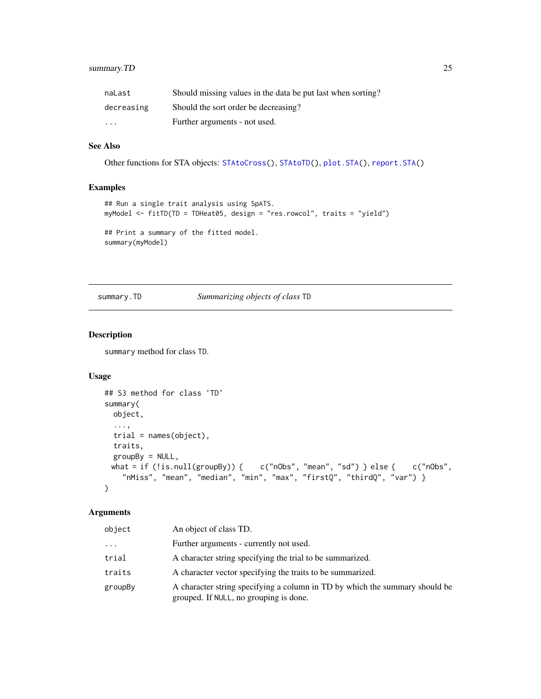# <span id="page-24-0"></span>summary.TD 25

| naLast            | Should missing values in the data be put last when sorting? |
|-------------------|-------------------------------------------------------------|
| decreasing        | Should the sort order be decreasing?                        |
| $\cdot\cdot\cdot$ | Further arguments - not used.                               |

# See Also

Other functions for STA objects: [STAtoCross\(](#page-20-1)), [STAtoTD\(](#page-22-1)), [plot.STA\(](#page-13-1)), [report.STA\(](#page-19-1))

# Examples

```
## Run a single trait analysis using SpATS.
myModel <- fitTD(TD = TDHeat05, design = "res.rowcol", traits = "yield")
## Print a summary of the fitted model.
summary(myModel)
```
# <span id="page-24-1"></span>summary.TD *Summarizing objects of class* TD

# Description

summary method for class TD.

#### Usage

```
## S3 method for class 'TD'
summary(
 object,
  ...,
 trial = names(object),
 traits,
 groupBy = NULL,what = if (!is.null(groupBy)) { c("nObs", "mean", "sd") } else { c("nObs",
   "nMiss", "mean", "median", "min", "max", "firstQ", "thirdQ", "var") }
\mathcal{L}
```
#### Arguments

| object   | An object of class TD.                                                                                                |
|----------|-----------------------------------------------------------------------------------------------------------------------|
| $\cdots$ | Further arguments - currently not used.                                                                               |
| trial    | A character string specifying the trial to be summarized.                                                             |
| traits   | A character vector specifying the traits to be summarized.                                                            |
| groupBy  | A character string specifying a column in TD by which the summary should be<br>grouped. If NULL, no grouping is done. |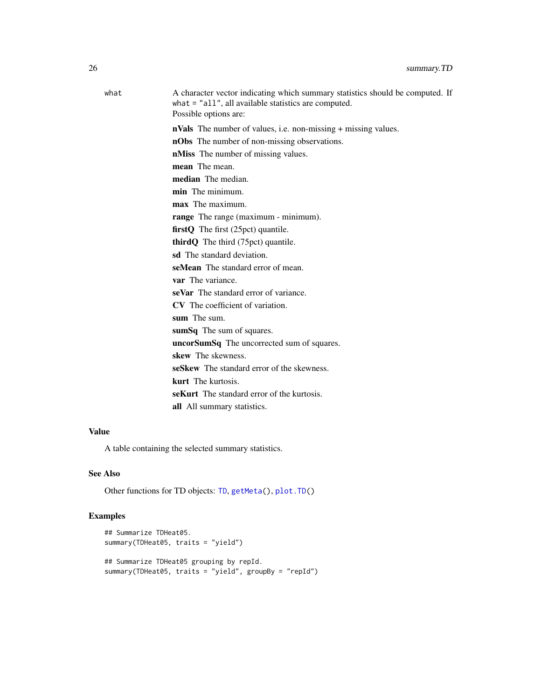<span id="page-25-0"></span>

| what | A character vector indicating which summary statistics should be computed. If<br>what $=$ "all", all available statistics are computed.<br>Possible options are: |
|------|------------------------------------------------------------------------------------------------------------------------------------------------------------------|
|      | <b>nVals</b> The number of values, i.e. non-missing + missing values.                                                                                            |
|      | <b>nObs</b> The number of non-missing observations.                                                                                                              |
|      | <b>nMiss</b> The number of missing values.                                                                                                                       |
|      | mean The mean.                                                                                                                                                   |
|      | median The median.                                                                                                                                               |
|      | min The minimum.                                                                                                                                                 |
|      | max The maximum.                                                                                                                                                 |
|      | range The range (maximum - minimum).                                                                                                                             |
|      | firstQ The first (25pct) quantile.                                                                                                                               |
|      | <b>third Q</b> The third $(75pct)$ quantile.                                                                                                                     |
|      | sd The standard deviation.                                                                                                                                       |
|      | seMean The standard error of mean.                                                                                                                               |
|      | var The variance.                                                                                                                                                |
|      | seVar The standard error of variance.                                                                                                                            |
|      | CV The coefficient of variation.                                                                                                                                 |
|      | sum The sum.                                                                                                                                                     |
|      | sumSq The sum of squares.                                                                                                                                        |
|      | uncorSumSq The uncorrected sum of squares.                                                                                                                       |
|      | skew The skewness.                                                                                                                                               |
|      | seSkew The standard error of the skewness.                                                                                                                       |
|      | <b>kurt</b> The kurtosis.                                                                                                                                        |
|      | <b>seKurt</b> The standard error of the kurtosis.                                                                                                                |
|      | all All summary statistics.                                                                                                                                      |
|      |                                                                                                                                                                  |

# Value

A table containing the selected summary statistics.

# See Also

Other functions for TD objects: [TD](#page-26-1), [getMeta\(](#page-10-2)), [plot.TD\(](#page-15-1))

# Examples

```
## Summarize TDHeat05.
summary(TDHeat05, traits = "yield")
## Summarize TDHeat05 grouping by repId.
summary(TDHeat05, traits = "yield", groupBy = "repId")
```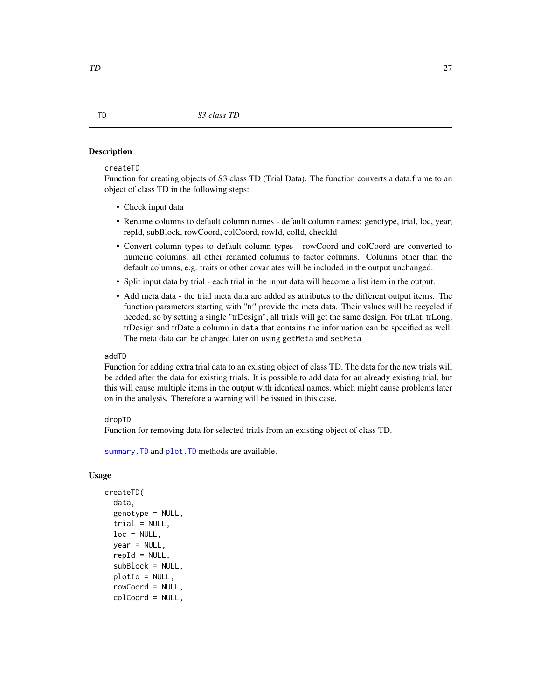#### <span id="page-26-1"></span><span id="page-26-0"></span>**Description**

#### createTD

Function for creating objects of S3 class TD (Trial Data). The function converts a data.frame to an object of class TD in the following steps:

- Check input data
- Rename columns to default column names default column names: genotype, trial, loc, year, repId, subBlock, rowCoord, colCoord, rowId, colId, checkId
- Convert column types to default column types rowCoord and colCoord are converted to numeric columns, all other renamed columns to factor columns. Columns other than the default columns, e.g. traits or other covariates will be included in the output unchanged.
- Split input data by trial each trial in the input data will become a list item in the output.
- Add meta data the trial meta data are added as attributes to the different output items. The function parameters starting with "tr" provide the meta data. Their values will be recycled if needed, so by setting a single "trDesign", all trials will get the same design. For trLat, trLong, trDesign and trDate a column in data that contains the information can be specified as well. The meta data can be changed later on using getMeta and setMeta

#### addTD

Function for adding extra trial data to an existing object of class TD. The data for the new trials will be added after the data for existing trials. It is possible to add data for an already existing trial, but this will cause multiple items in the output with identical names, which might cause problems later on in the analysis. Therefore a warning will be issued in this case.

#### dropTD

Function for removing data for selected trials from an existing object of class TD.

[summary.TD](#page-24-1) and [plot.TD](#page-15-1) methods are available.

#### Usage

```
createTD(
  data,
  genotype = NULL,
  trial = NULL,loc = NULL,year = NULL,repId = NULL,subBlock = NULL,
  plotId = NULL,rowCoord = NULL,
  colCoord = NULL,
```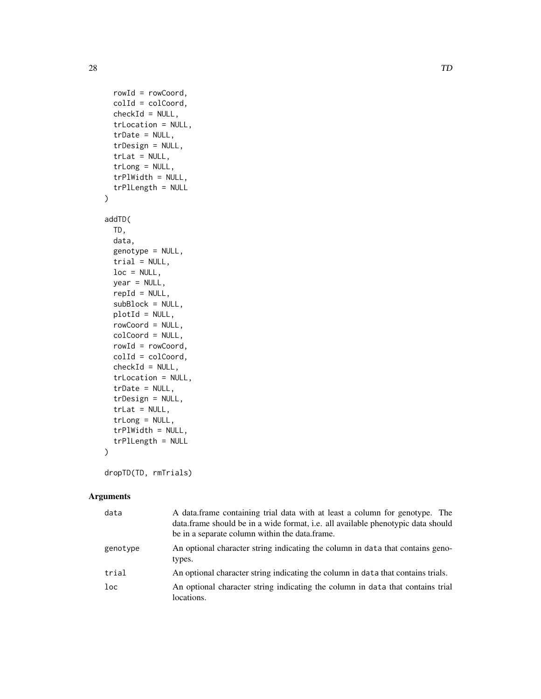```
rowId = rowCoord,
  colId = colCoord,
  checkId = NULL,trLocation = NULL,
  trDate = NULL,
  trDesign = NULL,
  trLat = NULL,trLong = NULL,
  trPlWidth = NULL,
  trPlLength = NULL
\mathcal{L}addTD(
 TD,
 data,
  genotype = NULL,
  trial = NULL,
  loc = NULL,year = NULL,
  repId = NULL,subBlock = NULL,
 plotId = NULL,rowCoord = NULL,
  colCoord = NULL,
  rowId = rowCoord,
  colId = colCoord,
  checkId = NULL,trLocation = NULL,
  trDate = NULL,
  trDesign = NULL,
  trLat = NULL,trLong = NULL,
  trPlWidth = NULL,trPlLength = NULL
\mathcal{L}
```

```
dropTD(TD, rmTrials)
```
# Arguments

| data            | A data frame containing trial data with at least a column for genotype. The<br>data frame should be in a wide format, <i>i.e.</i> all available phenotypic data should<br>be in a separate column within the data.frame. |
|-----------------|--------------------------------------------------------------------------------------------------------------------------------------------------------------------------------------------------------------------------|
| genotype        | An optional character string indicating the column in data that contains geno-<br>types.                                                                                                                                 |
| trial           | An optional character string indicating the column in data that contains trials.                                                                                                                                         |
| 1 <sub>oc</sub> | An optional character string indicating the column in data that contains trial<br>locations.                                                                                                                             |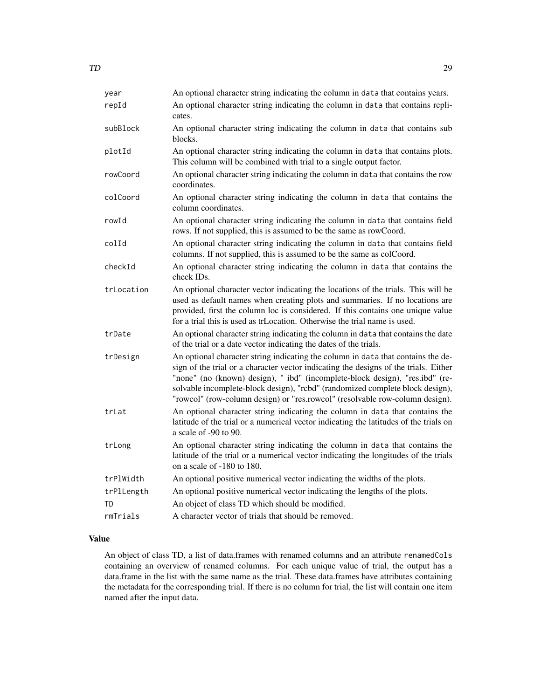| year       | An optional character string indicating the column in data that contains years.                                                                                                                                                                                                                                                                                                                                           |
|------------|---------------------------------------------------------------------------------------------------------------------------------------------------------------------------------------------------------------------------------------------------------------------------------------------------------------------------------------------------------------------------------------------------------------------------|
| repId      | An optional character string indicating the column in data that contains repli-<br>cates.                                                                                                                                                                                                                                                                                                                                 |
| subBlock   | An optional character string indicating the column in data that contains sub<br>blocks.                                                                                                                                                                                                                                                                                                                                   |
| plotId     | An optional character string indicating the column in data that contains plots.<br>This column will be combined with trial to a single output factor.                                                                                                                                                                                                                                                                     |
| rowCoord   | An optional character string indicating the column in data that contains the row<br>coordinates.                                                                                                                                                                                                                                                                                                                          |
| colCoord   | An optional character string indicating the column in data that contains the<br>column coordinates.                                                                                                                                                                                                                                                                                                                       |
| rowId      | An optional character string indicating the column in data that contains field<br>rows. If not supplied, this is assumed to be the same as rowCoord.                                                                                                                                                                                                                                                                      |
| colId      | An optional character string indicating the column in data that contains field<br>columns. If not supplied, this is assumed to be the same as colCoord.                                                                                                                                                                                                                                                                   |
| checkId    | An optional character string indicating the column in data that contains the<br>check IDs.                                                                                                                                                                                                                                                                                                                                |
| trLocation | An optional character vector indicating the locations of the trials. This will be<br>used as default names when creating plots and summaries. If no locations are<br>provided, first the column loc is considered. If this contains one unique value<br>for a trial this is used as trLocation. Otherwise the trial name is used.                                                                                         |
| trDate     | An optional character string indicating the column in data that contains the date<br>of the trial or a date vector indicating the dates of the trials.                                                                                                                                                                                                                                                                    |
| trDesign   | An optional character string indicating the column in data that contains the de-<br>sign of the trial or a character vector indicating the designs of the trials. Either<br>"none" (no (known) design), " ibd" (incomplete-block design), "res.ibd" (re-<br>solvable incomplete-block design), "rcbd" (randomized complete block design),<br>"rowcol" (row-column design) or "res.rowcol" (resolvable row-column design). |
| trLat      | An optional character string indicating the column in data that contains the<br>latitude of the trial or a numerical vector indicating the latitudes of the trials on<br>a scale of $-90$ to 90.                                                                                                                                                                                                                          |
| trLong     | An optional character string indicating the column in data that contains the<br>latitude of the trial or a numerical vector indicating the longitudes of the trials<br>on a scale of $-180$ to 180.                                                                                                                                                                                                                       |
| trPlWidth  | An optional positive numerical vector indicating the widths of the plots.                                                                                                                                                                                                                                                                                                                                                 |
| trPlLength | An optional positive numerical vector indicating the lengths of the plots.                                                                                                                                                                                                                                                                                                                                                |
| TD         | An object of class TD which should be modified.                                                                                                                                                                                                                                                                                                                                                                           |
| rmTrials   | A character vector of trials that should be removed.                                                                                                                                                                                                                                                                                                                                                                      |

# Value

An object of class TD, a list of data.frames with renamed columns and an attribute renamedCols containing an overview of renamed columns. For each unique value of trial, the output has a data.frame in the list with the same name as the trial. These data.frames have attributes containing the metadata for the corresponding trial. If there is no column for trial, the list will contain one item named after the input data.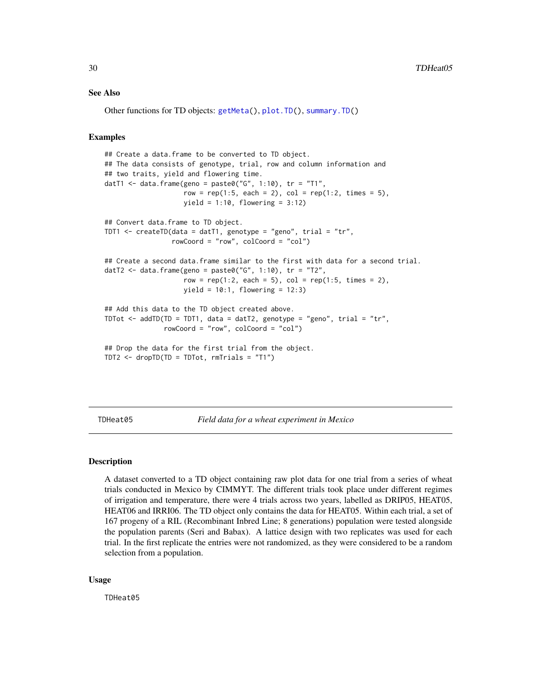#### See Also

Other functions for TD objects: [getMeta\(](#page-10-2)), [plot.TD\(](#page-15-1)), [summary.TD\(](#page-24-1))

#### Examples

```
## Create a data.frame to be converted to TD object.
## The data consists of genotype, trial, row and column information and
## two traits, yield and flowering time.
datT1 <- data.frame(geno = paste0("G", 1:10), tr = "T1",row = rep(1:5, each = 2), col = rep(1:2, times = 5),yield = 1:10, flowering = 3:12)
## Convert data.frame to TD object.
TDT1 <- createTD(data = datT1, genotype = "geno", trial = "tr",
                 rowCoord = "row", colCoord = "col")
## Create a second data.frame similar to the first with data for a second trial.
datT2 <- data.frame(geno = paste0("G", 1:10), tr = "T2",
                    row = rep(1:2, each = 5), col = rep(1:5, times = 2),yield = 10:1, flowering = 12:3)
## Add this data to the TD object created above.
TDTot \le - addTD(TD = TDT1, data = datT2, genotype = "geno", trial = "tr",
               rowCoord = "row", colCoord = "col")
## Drop the data for the first trial from the object.
TDT2 <- dropTD(TD = TDTot, rmTrials = "T1")
```
TDHeat05 *Field data for a wheat experiment in Mexico*

#### Description

A dataset converted to a TD object containing raw plot data for one trial from a series of wheat trials conducted in Mexico by CIMMYT. The different trials took place under different regimes of irrigation and temperature, there were 4 trials across two years, labelled as DRIP05, HEAT05, HEAT06 and IRRI06. The TD object only contains the data for HEAT05. Within each trial, a set of 167 progeny of a RIL (Recombinant Inbred Line; 8 generations) population were tested alongside the population parents (Seri and Babax). A lattice design with two replicates was used for each trial. In the first replicate the entries were not randomized, as they were considered to be a random selection from a population.

#### Usage

TDHeat05

<span id="page-29-0"></span>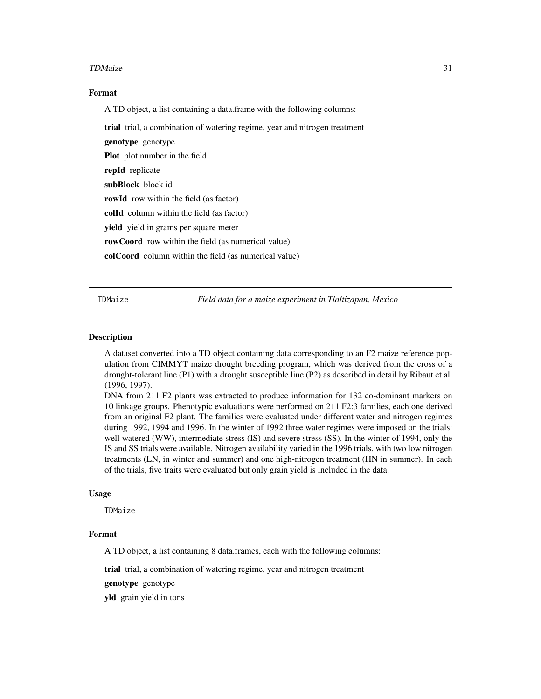#### <span id="page-30-0"></span>TDMaize 31

#### Format

A TD object, a list containing a data.frame with the following columns:

trial trial, a combination of watering regime, year and nitrogen treatment

genotype genotype

Plot plot number in the field

repId replicate

subBlock block id

rowId row within the field (as factor)

colId column within the field (as factor)

yield yield in grams per square meter

rowCoord row within the field (as numerical value)

colCoord column within the field (as numerical value)

TDMaize *Field data for a maize experiment in Tlaltizapan, Mexico*

#### Description

A dataset converted into a TD object containing data corresponding to an F2 maize reference population from CIMMYT maize drought breeding program, which was derived from the cross of a drought-tolerant line (P1) with a drought susceptible line (P2) as described in detail by Ribaut et al. (1996, 1997).

DNA from 211 F2 plants was extracted to produce information for 132 co-dominant markers on 10 linkage groups. Phenotypic evaluations were performed on 211 F2:3 families, each one derived from an original F2 plant. The families were evaluated under different water and nitrogen regimes during 1992, 1994 and 1996. In the winter of 1992 three water regimes were imposed on the trials: well watered (WW), intermediate stress (IS) and severe stress (SS). In the winter of 1994, only the IS and SS trials were available. Nitrogen availability varied in the 1996 trials, with two low nitrogen treatments (LN, in winter and summer) and one high-nitrogen treatment (HN in summer). In each of the trials, five traits were evaluated but only grain yield is included in the data.

#### Usage

TDMaize

# Format

A TD object, a list containing 8 data.frames, each with the following columns:

trial trial, a combination of watering regime, year and nitrogen treatment

genotype genotype

yld grain yield in tons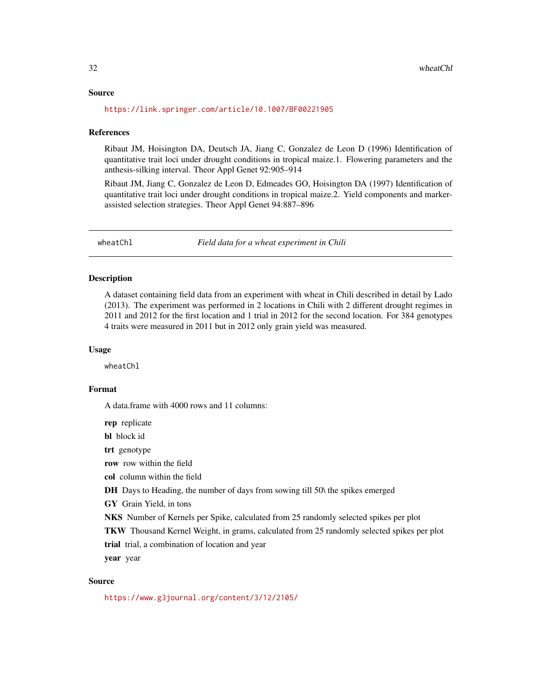#### <span id="page-31-0"></span>Source

<https://link.springer.com/article/10.1007/BF00221905>

#### References

Ribaut JM, Hoisington DA, Deutsch JA, Jiang C, Gonzalez de Leon D (1996) Identification of quantitative trait loci under drought conditions in tropical maize.1. Flowering parameters and the anthesis-silking interval. Theor Appl Genet 92:905–914

Ribaut JM, Jiang C, Gonzalez de Leon D, Edmeades GO, Hoisington DA (1997) Identification of quantitative trait loci under drought conditions in tropical maize.2. Yield components and markerassisted selection strategies. Theor Appl Genet 94:887–896

wheatChl *Field data for a wheat experiment in Chili*

# Description

A dataset containing field data from an experiment with wheat in Chili described in detail by Lado (2013). The experiment was performed in 2 locations in Chili with 2 different drought regimes in 2011 and 2012 for the first location and 1 trial in 2012 for the second location. For 384 genotypes 4 traits were measured in 2011 but in 2012 only grain yield was measured.

#### Usage

wheatChl

#### Format

A data.frame with 4000 rows and 11 columns:

rep replicate

bl block id

trt genotype

row row within the field

col column within the field

DH Days to Heading, the number of days from sowing till 50\ the spikes emerged

GY Grain Yield, in tons

NKS Number of Kernels per Spike, calculated from 25 randomly selected spikes per plot

TKW Thousand Kernel Weight, in grams, calculated from 25 randomly selected spikes per plot

trial trial, a combination of location and year

year year

### Source

<https://www.g3journal.org/content/3/12/2105/>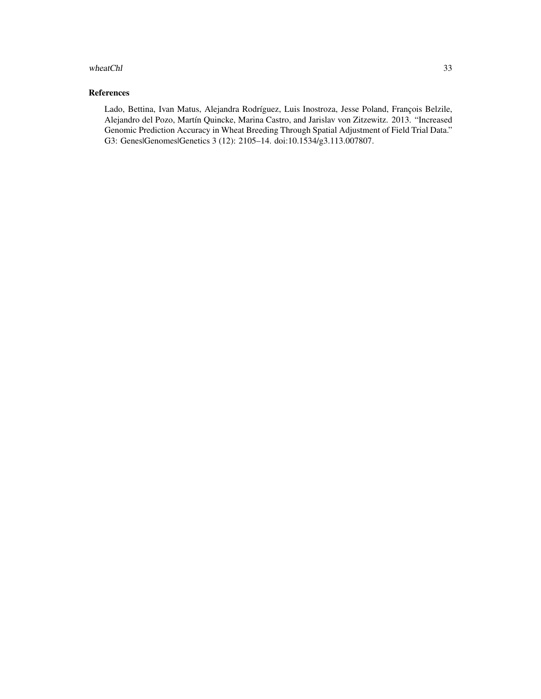#### wheatChl 33

# References

Lado, Bettina, Ivan Matus, Alejandra Rodríguez, Luis Inostroza, Jesse Poland, François Belzile, Alejandro del Pozo, Martín Quincke, Marina Castro, and Jarislav von Zitzewitz. 2013. "Increased Genomic Prediction Accuracy in Wheat Breeding Through Spatial Adjustment of Field Trial Data." G3: Genes|Genomes|Genetics 3 (12): 2105–14. doi:10.1534/g3.113.007807.